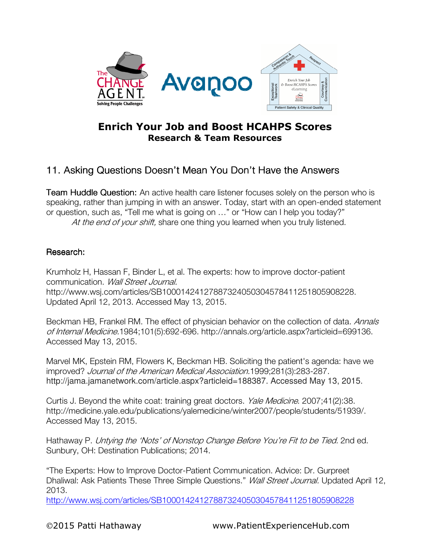

## Enrich Your Job and Boost HCAHPS Scores Research & Team Resources

## 11. Asking Questions Doesn't Mean You Don't Have the Answers

**Team Huddle Question:** An active health care listener focuses solely on the person who is speaking, rather than jumping in with an answer. Today, start with an open-ended statement or question, such as, "Tell me what is going on …" or "How can I help you today?" At the end of your shift, share one thing you learned when you truly listened.

## Research:

Krumholz H, Hassan F, Binder L, et al. The experts: how to improve doctor-patient communication. Wall Street Journal. http://www.wsj.com/articles/SB10001424127887324050304578411251805908228. Updated April 12, 2013. Accessed May 13, 2015.

Beckman HB, Frankel RM. The effect of physician behavior on the collection of data. Annals of Internal Medicine.1984;101(5):692-696. http://annals.org/article.aspx?articleid=699136. Accessed May 13, 2015.

Marvel MK, Epstein RM, Flowers K, Beckman HB. Soliciting the patient's agenda: have we improved? Journal of the American Medical Association.1999;281(3):283-287. http://jama.jamanetwork.com/article.aspx?articleid=188387. Accessed May 13, 2015.

Curtis J. Beyond the white coat: training great doctors. Yale Medicine. 2007;41(2):38. http://medicine.yale.edu/publications/yalemedicine/winter2007/people/students/51939/. Accessed May 13, 2015.

Hathaway P. Untying the 'Nots' of Nonstop Change Before You're Fit to be Tied. 2nd ed. Sunbury, OH: Destination Publications; 2014.

"The Experts: How to Improve Doctor-Patient Communication. Advice: Dr. Gurpreet Dhaliwal: Ask Patients These Three Simple Questions." Wall Street Journal. Updated April 12, 2013.

http://www.wsj.com/articles/SB10001424127887324050304578411251805908228